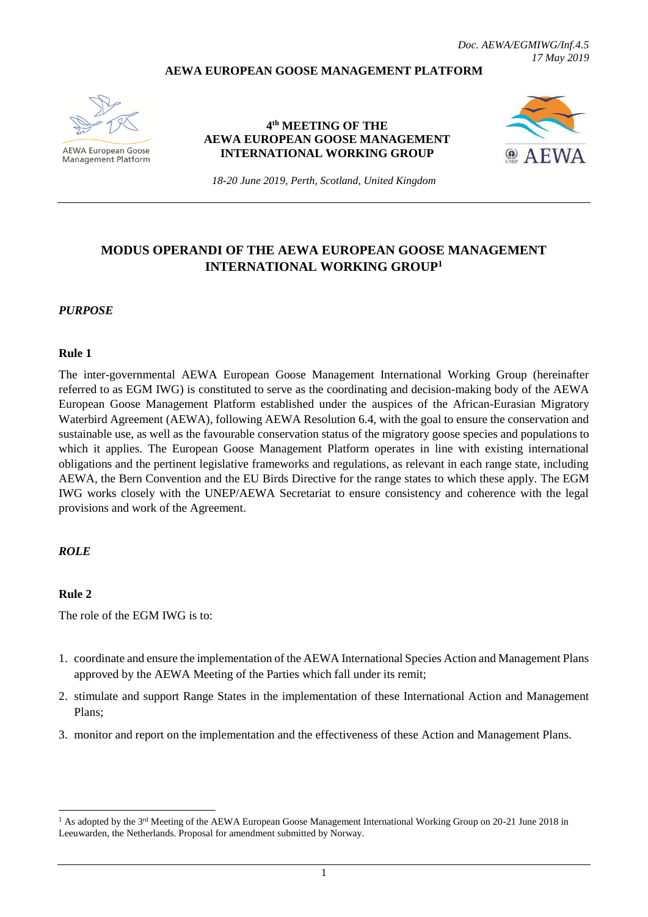#### **AEWA EUROPEAN GOOSE MANAGEMENT PLATFORM**



**AEWA European Goose** Management Platform

#### **4 th MEETING OF THE AEWA EUROPEAN GOOSE MANAGEMENT INTERNATIONAL WORKING GROUP**



*18-20 June 2019, Perth, Scotland, United Kingdom*

## **MODUS OPERANDI OF THE AEWA EUROPEAN GOOSE MANAGEMENT INTERNATIONAL WORKING GROUP<sup>1</sup>**

#### *PURPOSE*

#### **Rule 1**

The inter-governmental AEWA European Goose Management International Working Group (hereinafter referred to as EGM IWG) is constituted to serve as the coordinating and decision-making body of the AEWA European Goose Management Platform established under the auspices of the African-Eurasian Migratory Waterbird Agreement (AEWA), following AEWA Resolution 6.4, with the goal to ensure the conservation and sustainable use, as well as the favourable conservation status of the migratory goose species and populations to which it applies. The European Goose Management Platform operates in line with existing international obligations and the pertinent legislative frameworks and regulations, as relevant in each range state, including AEWA, the Bern Convention and the EU Birds Directive for the range states to which these apply. The EGM IWG works closely with the UNEP/AEWA Secretariat to ensure consistency and coherence with the legal provisions and work of the Agreement.

#### *ROLE*

#### **Rule 2**

1

The role of the EGM IWG is to:

- 1. coordinate and ensure the implementation of the AEWA International Species Action and Management Plans approved by the AEWA Meeting of the Parties which fall under its remit;
- 2. stimulate and support Range States in the implementation of these International Action and Management Plans;
- 3. monitor and report on the implementation and the effectiveness of these Action and Management Plans.

<sup>&</sup>lt;sup>1</sup> As adopted by the 3<sup>rd</sup> Meeting of the AEWA European Goose Management International Working Group on 20-21 June 2018 in Leeuwarden, the Netherlands. Proposal for amendment submitted by Norway.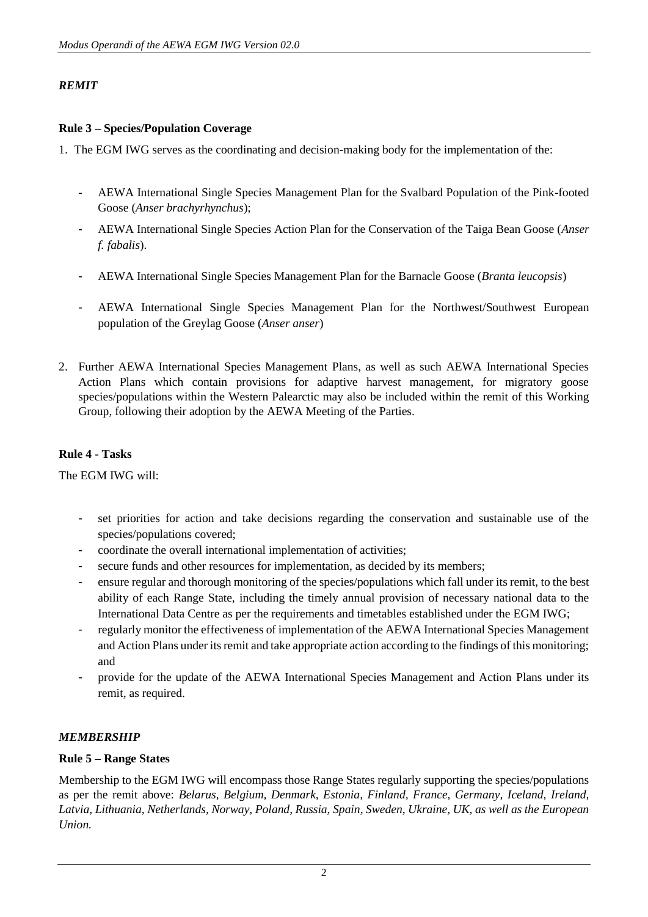## *REMIT*

## **Rule 3 – Species/Population Coverage**

1. The EGM IWG serves as the coordinating and decision-making body for the implementation of the:

- AEWA International Single Species Management Plan for the Svalbard Population of the Pink-footed Goose (*Anser brachyrhynchus*);
- AEWA International Single Species Action Plan for the Conservation of the Taiga Bean Goose (*Anser f. fabalis*).
- AEWA International Single Species Management Plan for the Barnacle Goose (*Branta leucopsis*)
- AEWA International Single Species Management Plan for the Northwest/Southwest European population of the Greylag Goose (*Anser anser*)
- 2. Further AEWA International Species Management Plans, as well as such AEWA International Species Action Plans which contain provisions for adaptive harvest management, for migratory goose species/populations within the Western Palearctic may also be included within the remit of this Working Group, following their adoption by the AEWA Meeting of the Parties.

### **Rule 4 - Tasks**

The EGM IWG will:

- set priorities for action and take decisions regarding the conservation and sustainable use of the species/populations covered;
- coordinate the overall international implementation of activities;
- secure funds and other resources for implementation, as decided by its members;
- ensure regular and thorough monitoring of the species/populations which fall under its remit, to the best ability of each Range State, including the timely annual provision of necessary national data to the International Data Centre as per the requirements and timetables established under the EGM IWG;
- regularly monitor the effectiveness of implementation of the AEWA International Species Management and Action Plans under its remit and take appropriate action according to the findings of this monitoring; and
- provide for the update of the AEWA International Species Management and Action Plans under its remit, as required.

## *MEMBERSHIP*

### **Rule 5 – Range States**

Membership to the EGM IWG will encompass those Range States regularly supporting the species/populations as per the remit above: *Belarus, Belgium, Denmark, Estonia, Finland, France, Germany, Iceland, Ireland, Latvia, Lithuania, Netherlands, Norway, Poland, Russia, Spain, Sweden, Ukraine, UK, as well as the European Union.*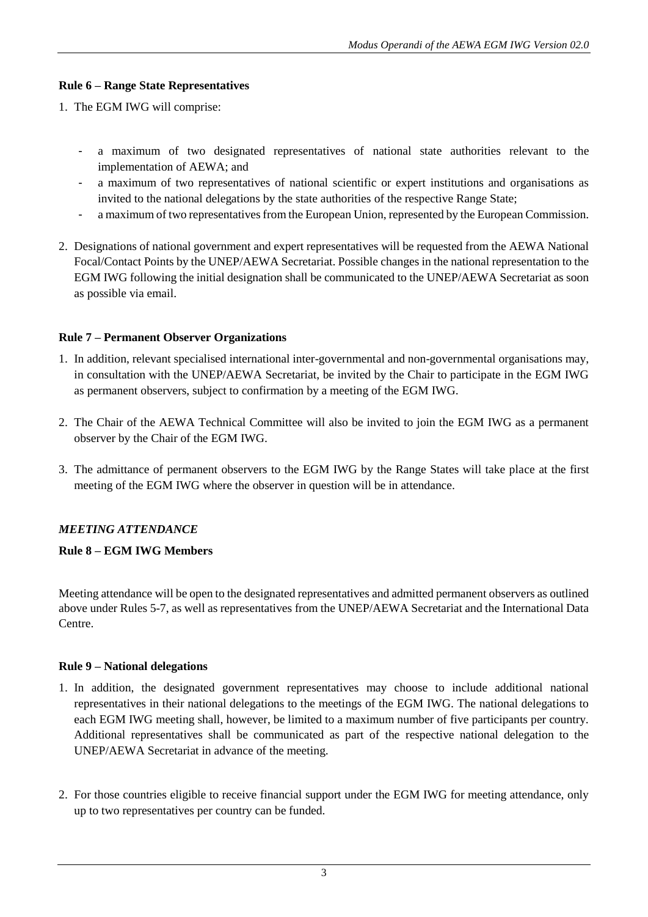## **Rule 6 – Range State Representatives**

- 1. The EGM IWG will comprise:
	- a maximum of two designated representatives of national state authorities relevant to the implementation of AEWA; and
	- a maximum of two representatives of national scientific or expert institutions and organisations as invited to the national delegations by the state authorities of the respective Range State;
	- a maximum of two representatives from the European Union, represented by the European Commission.
- 2. Designations of national government and expert representatives will be requested from the AEWA National Focal/Contact Points by the UNEP/AEWA Secretariat. Possible changes in the national representation to the EGM IWG following the initial designation shall be communicated to the UNEP/AEWA Secretariat as soon as possible via email.

### **Rule 7 – Permanent Observer Organizations**

- 1. In addition, relevant specialised international inter-governmental and non-governmental organisations may, in consultation with the UNEP/AEWA Secretariat, be invited by the Chair to participate in the EGM IWG as permanent observers, subject to confirmation by a meeting of the EGM IWG.
- 2. The Chair of the AEWA Technical Committee will also be invited to join the EGM IWG as a permanent observer by the Chair of the EGM IWG.
- 3. The admittance of permanent observers to the EGM IWG by the Range States will take place at the first meeting of the EGM IWG where the observer in question will be in attendance.

## *MEETING ATTENDANCE*

## **Rule 8 – EGM IWG Members**

Meeting attendance will be open to the designated representatives and admitted permanent observers as outlined above under Rules 5-7, as well as representatives from the UNEP/AEWA Secretariat and the International Data Centre.

### **Rule 9 – National delegations**

- 1. In addition, the designated government representatives may choose to include additional national representatives in their national delegations to the meetings of the EGM IWG. The national delegations to each EGM IWG meeting shall, however, be limited to a maximum number of five participants per country. Additional representatives shall be communicated as part of the respective national delegation to the UNEP/AEWA Secretariat in advance of the meeting.
- 2. For those countries eligible to receive financial support under the EGM IWG for meeting attendance, only up to two representatives per country can be funded.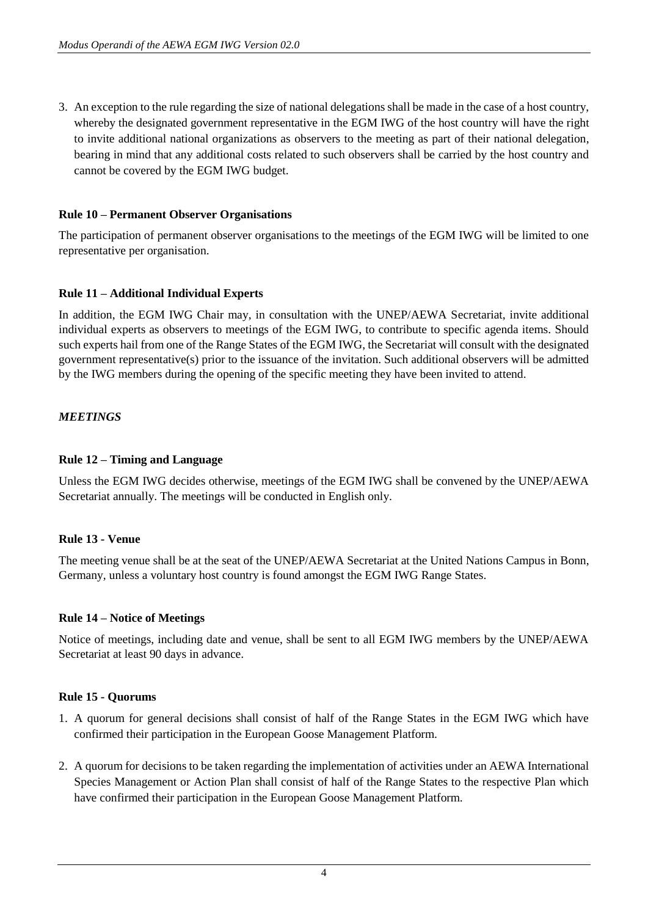3. An exception to the rule regarding the size of national delegations shall be made in the case of a host country, whereby the designated government representative in the EGM IWG of the host country will have the right to invite additional national organizations as observers to the meeting as part of their national delegation, bearing in mind that any additional costs related to such observers shall be carried by the host country and cannot be covered by the EGM IWG budget.

### **Rule 10 – Permanent Observer Organisations**

The participation of permanent observer organisations to the meetings of the EGM IWG will be limited to one representative per organisation.

### **Rule 11 – Additional Individual Experts**

In addition, the EGM IWG Chair may, in consultation with the UNEP/AEWA Secretariat, invite additional individual experts as observers to meetings of the EGM IWG, to contribute to specific agenda items. Should such experts hail from one of the Range States of the EGM IWG, the Secretariat will consult with the designated government representative(s) prior to the issuance of the invitation. Such additional observers will be admitted by the IWG members during the opening of the specific meeting they have been invited to attend.

### *MEETINGS*

### **Rule 12 – Timing and Language**

Unless the EGM IWG decides otherwise, meetings of the EGM IWG shall be convened by the UNEP/AEWA Secretariat annually. The meetings will be conducted in English only.

### **Rule 13 - Venue**

The meeting venue shall be at the seat of the UNEP/AEWA Secretariat at the United Nations Campus in Bonn, Germany, unless a voluntary host country is found amongst the EGM IWG Range States.

### **Rule 14 – Notice of Meetings**

Notice of meetings, including date and venue, shall be sent to all EGM IWG members by the UNEP/AEWA Secretariat at least 90 days in advance.

### **Rule 15 - Quorums**

- 1. A quorum for general decisions shall consist of half of the Range States in the EGM IWG which have confirmed their participation in the European Goose Management Platform.
- 2. A quorum for decisions to be taken regarding the implementation of activities under an AEWA International Species Management or Action Plan shall consist of half of the Range States to the respective Plan which have confirmed their participation in the European Goose Management Platform.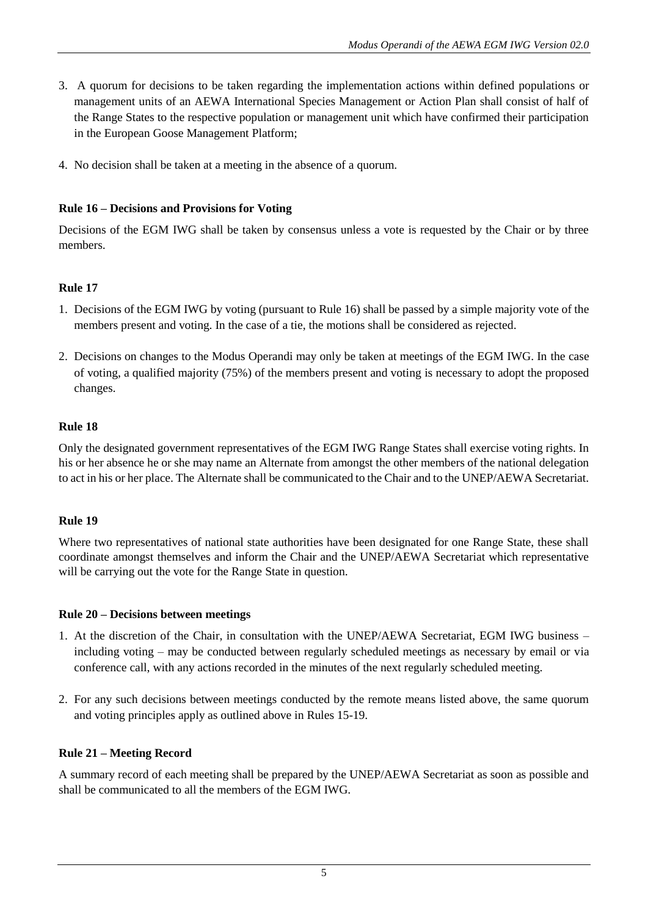- 3. A quorum for decisions to be taken regarding the implementation actions within defined populations or management units of an AEWA International Species Management or Action Plan shall consist of half of the Range States to the respective population or management unit which have confirmed their participation in the European Goose Management Platform;
- 4. No decision shall be taken at a meeting in the absence of a quorum.

## **Rule 16 – Decisions and Provisions for Voting**

Decisions of the EGM IWG shall be taken by consensus unless a vote is requested by the Chair or by three members.

### **Rule 17**

- 1. Decisions of the EGM IWG by voting (pursuant to Rule 16) shall be passed by a simple majority vote of the members present and voting. In the case of a tie, the motions shall be considered as rejected.
- 2. Decisions on changes to the Modus Operandi may only be taken at meetings of the EGM IWG. In the case of voting, a qualified majority (75%) of the members present and voting is necessary to adopt the proposed changes.

### **Rule 18**

Only the designated government representatives of the EGM IWG Range States shall exercise voting rights. In his or her absence he or she may name an Alternate from amongst the other members of the national delegation to act in his or her place. The Alternate shall be communicated to the Chair and to the UNEP/AEWA Secretariat.

### **Rule 19**

Where two representatives of national state authorities have been designated for one Range State, these shall coordinate amongst themselves and inform the Chair and the UNEP/AEWA Secretariat which representative will be carrying out the vote for the Range State in question.

### **Rule 20 – Decisions between meetings**

- 1. At the discretion of the Chair, in consultation with the UNEP/AEWA Secretariat, EGM IWG business including voting – may be conducted between regularly scheduled meetings as necessary by email or via conference call, with any actions recorded in the minutes of the next regularly scheduled meeting.
- 2. For any such decisions between meetings conducted by the remote means listed above, the same quorum and voting principles apply as outlined above in Rules 15-19.

## **Rule 21 – Meeting Record**

A summary record of each meeting shall be prepared by the UNEP/AEWA Secretariat as soon as possible and shall be communicated to all the members of the EGM IWG.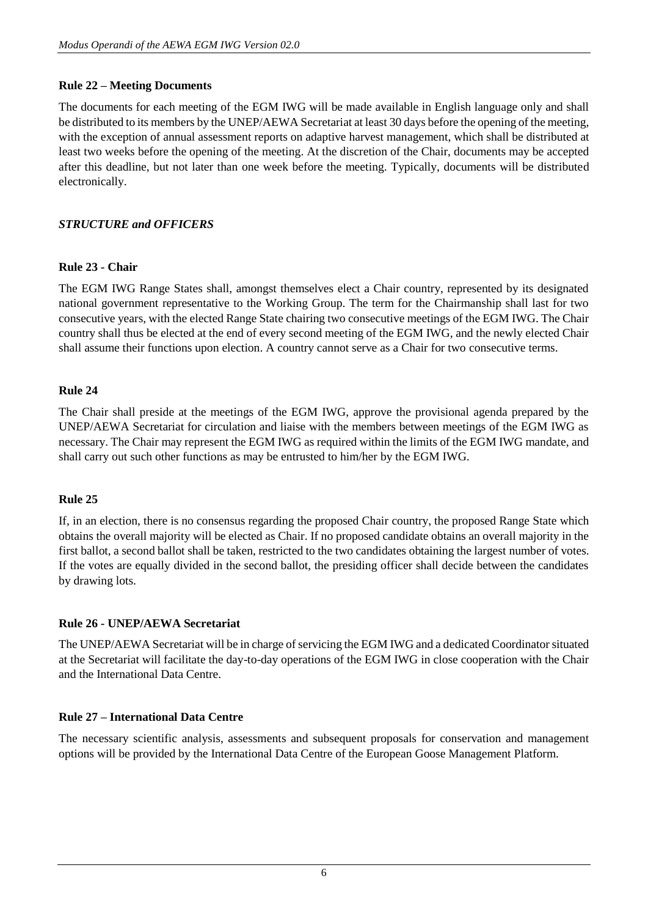### **Rule 22 – Meeting Documents**

The documents for each meeting of the EGM IWG will be made available in English language only and shall be distributed to its members by the UNEP/AEWA Secretariat at least 30 days before the opening of the meeting, with the exception of annual assessment reports on adaptive harvest management, which shall be distributed at least two weeks before the opening of the meeting. At the discretion of the Chair, documents may be accepted after this deadline, but not later than one week before the meeting. Typically, documents will be distributed electronically.

## *STRUCTURE and OFFICERS*

### **Rule 23 - Chair**

The EGM IWG Range States shall, amongst themselves elect a Chair country, represented by its designated national government representative to the Working Group. The term for the Chairmanship shall last for two consecutive years, with the elected Range State chairing two consecutive meetings of the EGM IWG. The Chair country shall thus be elected at the end of every second meeting of the EGM IWG, and the newly elected Chair shall assume their functions upon election. A country cannot serve as a Chair for two consecutive terms.

### **Rule 24**

The Chair shall preside at the meetings of the EGM IWG, approve the provisional agenda prepared by the UNEP/AEWA Secretariat for circulation and liaise with the members between meetings of the EGM IWG as necessary. The Chair may represent the EGM IWG as required within the limits of the EGM IWG mandate, and shall carry out such other functions as may be entrusted to him/her by the EGM IWG.

### **Rule 25**

If, in an election, there is no consensus regarding the proposed Chair country, the proposed Range State which obtains the overall majority will be elected as Chair. If no proposed candidate obtains an overall majority in the first ballot, a second ballot shall be taken, restricted to the two candidates obtaining the largest number of votes. If the votes are equally divided in the second ballot, the presiding officer shall decide between the candidates by drawing lots.

### **Rule 26 - UNEP/AEWA Secretariat**

The UNEP/AEWA Secretariat will be in charge of servicing the EGM IWG and a dedicated Coordinator situated at the Secretariat will facilitate the day-to-day operations of the EGM IWG in close cooperation with the Chair and the International Data Centre.

### **Rule 27 – International Data Centre**

The necessary scientific analysis, assessments and subsequent proposals for conservation and management options will be provided by the International Data Centre of the European Goose Management Platform.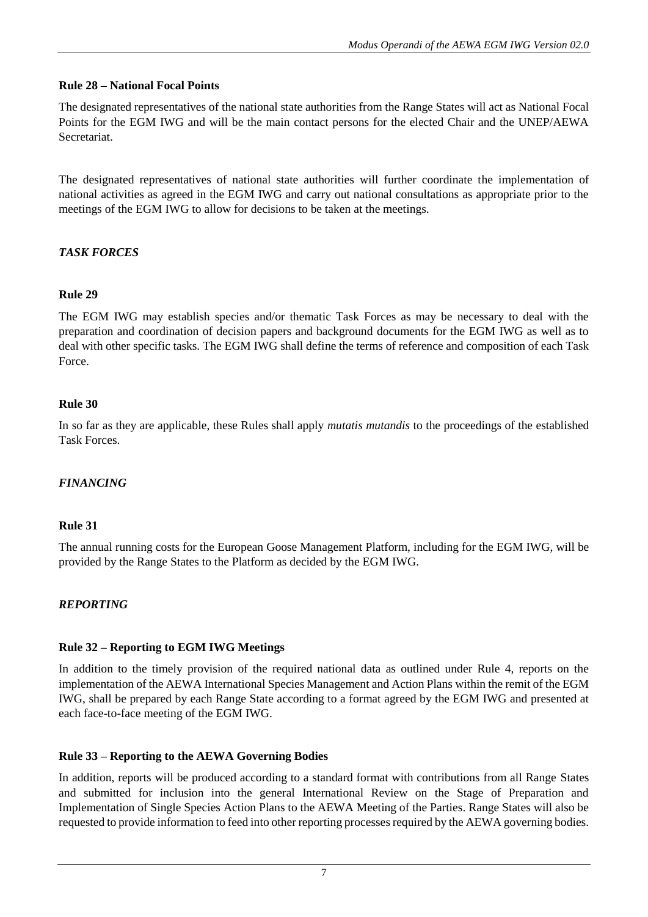## **Rule 28 – National Focal Points**

The designated representatives of the national state authorities from the Range States will act as National Focal Points for the EGM IWG and will be the main contact persons for the elected Chair and the UNEP/AEWA Secretariat.

The designated representatives of national state authorities will further coordinate the implementation of national activities as agreed in the EGM IWG and carry out national consultations as appropriate prior to the meetings of the EGM IWG to allow for decisions to be taken at the meetings.

# *TASK FORCES*

# **Rule 29**

The EGM IWG may establish species and/or thematic Task Forces as may be necessary to deal with the preparation and coordination of decision papers and background documents for the EGM IWG as well as to deal with other specific tasks. The EGM IWG shall define the terms of reference and composition of each Task Force.

## **Rule 30**

In so far as they are applicable, these Rules shall apply *mutatis mutandis* to the proceedings of the established Task Forces.

# *FINANCING*

## **Rule 31**

The annual running costs for the European Goose Management Platform, including for the EGM IWG, will be provided by the Range States to the Platform as decided by the EGM IWG.

# *REPORTING*

## **Rule 32 – Reporting to EGM IWG Meetings**

In addition to the timely provision of the required national data as outlined under Rule 4, reports on the implementation of the AEWA International Species Management and Action Plans within the remit of the EGM IWG, shall be prepared by each Range State according to a format agreed by the EGM IWG and presented at each face-to-face meeting of the EGM IWG.

# **Rule 33 – Reporting to the AEWA Governing Bodies**

In addition, reports will be produced according to a standard format with contributions from all Range States and submitted for inclusion into the general International Review on the Stage of Preparation and Implementation of Single Species Action Plans to the AEWA Meeting of the Parties. Range States will also be requested to provide information to feed into other reporting processes required by the AEWA governing bodies.